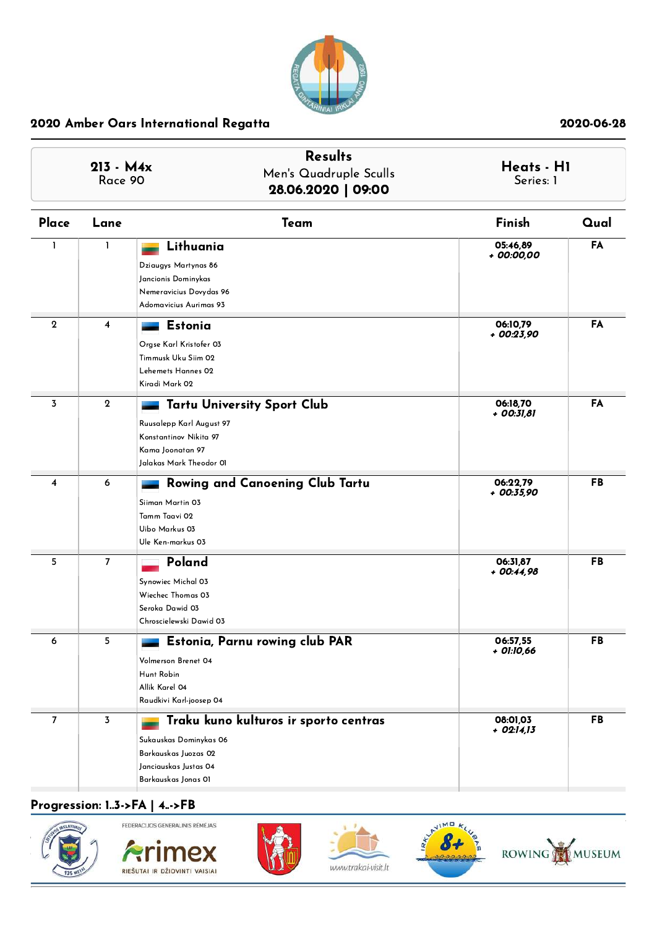

| $213 - M4x$<br>Race 90 |                         | <b>Results</b><br>Men's Quadruple Sculls<br>28.06.2020   09:00                                                                          |                          | Heats - H1<br>Series: 1 |  |  |  |
|------------------------|-------------------------|-----------------------------------------------------------------------------------------------------------------------------------------|--------------------------|-------------------------|--|--|--|
| Place                  | Lane                    | Team                                                                                                                                    | Finish                   | Qual                    |  |  |  |
| $\mathbf{I}$           | L                       | Lithuania<br>Dziaugys Martynas 86<br>Jancionis Dominykas<br>Nemeravicius Dovydas 96<br>Adomavicius Aurimas 93                           | 05:46,89<br>+ 00:00,00   | FA                      |  |  |  |
| $\boldsymbol{2}$       | 4                       | <b>Estonia</b><br>Orgse Karl Kristofer 03<br>Timmusk Uku Siim 02<br>Lehemets Hannes 02<br>Kiradi Mark 02                                | 06:10,79<br>+ 00:23,90   | FA                      |  |  |  |
| 3                      | $\mathbf{2}$            | <b>Tartu University Sport Club</b><br>Ruusalepp Karl August 97<br>Konstantinov Nikita 97<br>Kama Joonatan 97<br>Jalakas Mark Theodor 01 | 06:18,70<br>+ 00:31,81   | FA                      |  |  |  |
| 4                      | 6                       | Rowing and Canoening Club Tartu<br>Siiman Martin 03<br>Tamm Taavi 02<br>Uibo Markus 03<br>Ule Ken-markus 03                             | 06:22.79<br>+ 00:35,90   | <b>FB</b>               |  |  |  |
| 5                      | 7                       | Poland<br>Synowiec Michal 03<br>Wiechec Thomas 03<br>Seroka Dawid 03<br>Chroscielewski Dawid 03                                         | 06:31,87<br>+ 00:44,98   | FB                      |  |  |  |
| 6                      | 5                       | Estonia, Parnu rowing club PAR<br>Volmerson Brenet 04<br>Hunt Robin<br>Allik Karel 04<br>Raudkivi Karl-joosep 04                        | 06:57,55<br>+ 01:10,66   | <b>FB</b>               |  |  |  |
| 7                      | $\overline{\mathbf{3}}$ | Traku kuno kulturos ir sporto centras<br>Sukauskas Dominykas 06<br>Barkauskas Juozas 02<br>Janciauskas Justas 04<br>Barkauskas Jonas OI | 08:01,03<br>$+$ 02:14,13 | <b>FB</b>               |  |  |  |

# Progression: 1..3->FA | 4..->FB











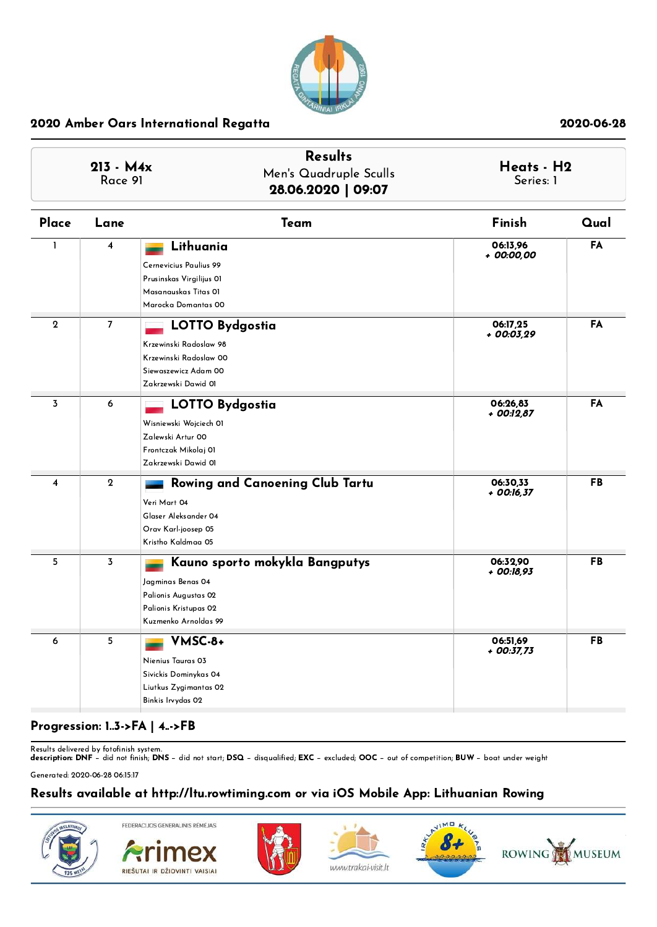

| $213 - M4x$<br>Race 91  |                         | <b>Results</b><br>Men's Quadruple Sculls<br>28.06.2020   09:07                                                               |                        | Heats - H2 |
|-------------------------|-------------------------|------------------------------------------------------------------------------------------------------------------------------|------------------------|------------|
| Place                   | Lane                    | Team                                                                                                                         | Finish                 | Qual       |
| $\mathbf{I}$            | $\overline{\mathbf{4}}$ | Lithuania<br>Cernevicius Paulius 99<br>Prusinskas Virgilijus OI<br>Masanauskas Titas OI<br>Marocka Domantas 00               | 06:13,96<br>+ 00:00,00 | FA         |
| $\overline{2}$          | $\overline{7}$          | <b>LOTTO Bydgostia</b><br>Krzewinski Radoslaw 98<br>Krzewinski Radoslaw 00<br>Siewaszewicz Adam 00<br>Zakrzewski Dawid 01    | 06:17.25<br>+ 00:03,29 | FA         |
| $\overline{3}$          | 6                       | <b>LOTTO Bydgostia</b><br>Wisniewski Wojciech Ol<br>Zalewski Artur 00<br>Frontczak Mikolaj 01<br>Zakrzewski Dawid 01         | 06:26,83<br>+ 00:12,87 | FA         |
| $\overline{\mathbf{4}}$ | $\overline{2}$          | Rowing and Canoening Club Tartu<br>Veri Mart 04<br>Glaser Aleksander 04<br>Orav Karl-joosep 05<br>Kristho Kaldmaa 05         | 06:30,33<br>+ 00:16,37 | <b>FB</b>  |
| 5                       | 3                       | Kauno sporto mokykla Bangputys<br>Jagminas Benas 04<br>Palionis Augustas 02<br>Palionis Kristupas 02<br>Kuzmenko Arnoldas 99 | 06:32.90<br>+ 00:18,93 | FB         |
| 6                       | 5                       | VMSC-8+<br>Nienius Tauras 03<br>Sivickis Dominykas 04<br>Liutkus Zygimantas 02<br>Binkis Irvydas 02                          | 06:51,69<br>+ 00:37,73 | FB         |

# Progression: 1..3->FA | 4..->FB

Results delivered by fotofinish system.<br>**description: DNF** − did not finish; **DNS** − did not start; **DSQ** − disqualified; **EXC** − excluded; **OOC** − out of competition; **BUW** − boat under weight

Generated: 2020-06-28 06:15:17

# Results available at http://ltu.rowtiming.com or via iOS Mobile App: Lithuanian Rowing

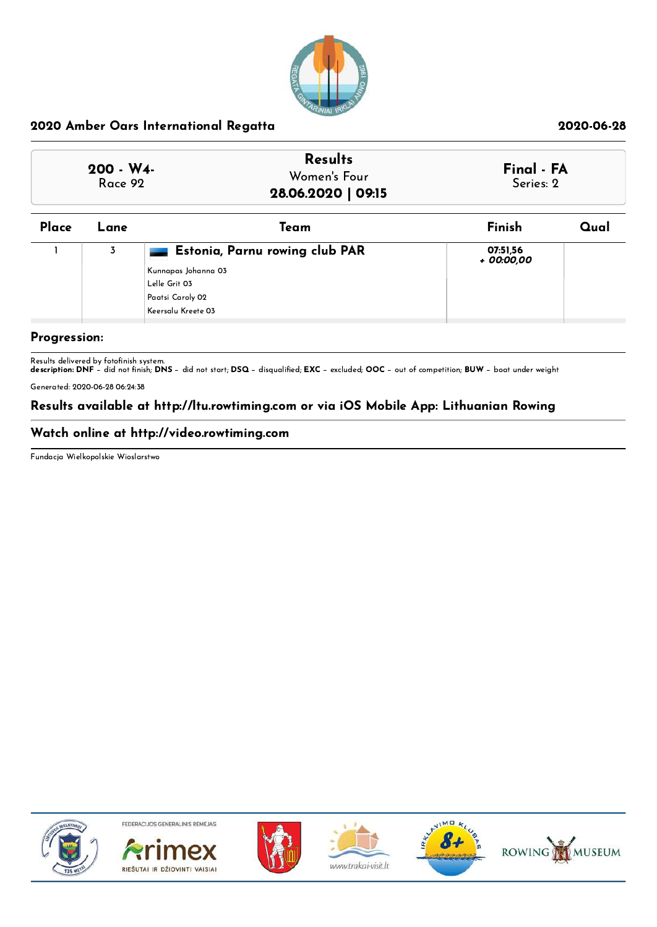

| $200 - W4$<br>Race 92 | <b>Results</b><br>Women's Four<br>28.06.2020   09:15 | Final - FA<br>Series: 2 |
|-----------------------|------------------------------------------------------|-------------------------|
|-----------------------|------------------------------------------------------|-------------------------|

| Place | Lane | Team                                                                                                               | Finish                 | Qual |
|-------|------|--------------------------------------------------------------------------------------------------------------------|------------------------|------|
|       | 3    | Estonia, Parnu rowing club PAR<br>  Kunnapas Johanna 03<br>Lelle Grit 03<br>Paatsi Caroly 02<br>Keersalu Kreete 03 | 07:51.56<br>+ 00:00,00 |      |
|       |      |                                                                                                                    |                        |      |

### Progression:

Results delivered by fotofinish system.<br>**description: DNF** − did not finish; **DNS** − did not start; **DSQ** − disqualified; **EXC** − excluded; OOC − out of competition; **BUW** − boat under weight

Generated: 2020-06-28 06:24:38

# Results available at http://ltu.rowtiming.com or via iOS Mobile App: Lithuanian Rowing

### Watch online at http://video.rowtiming.com

Fundacja Wielkopolskie Wioslarstwo



FEDERACIJOS GENERALINIS RÉMÉJAS









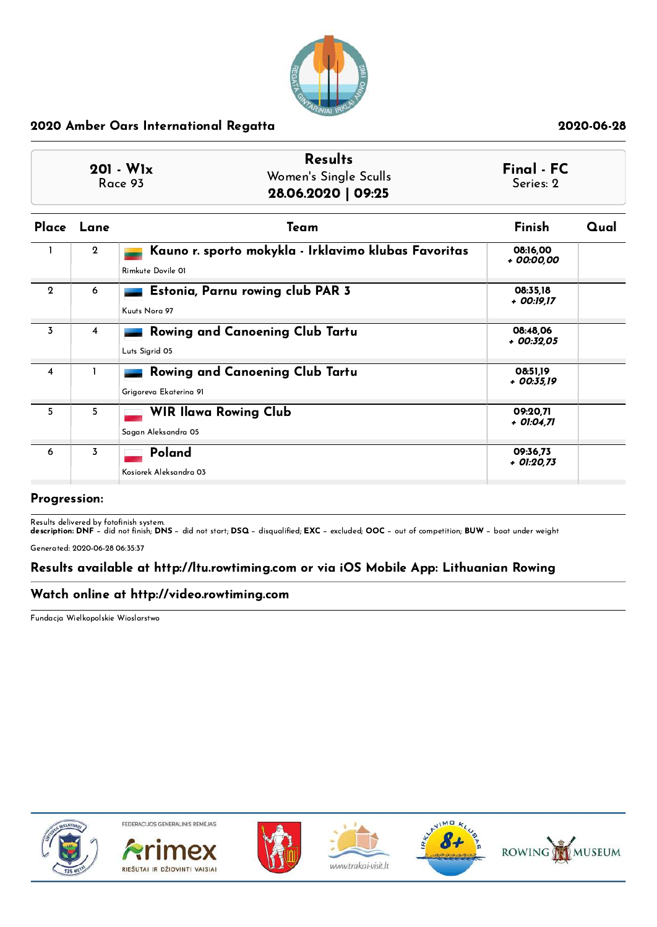

|              |                | <b>Results</b><br>$201 - W1x$<br>Women's Single Sculls<br>Race 93<br>28.06.2020   09:25 | Final - FC<br>Series: 2  |      |
|--------------|----------------|-----------------------------------------------------------------------------------------|--------------------------|------|
| Place        | Lane           | Team                                                                                    | Finish                   | Qual |
|              | $\overline{2}$ | Kauno r. sporto mokykla - Irklavimo klubas Favoritas<br>Rimkute Dovile 01               | 08:16.00<br>+ 00:00.00   |      |
| $\mathbf{2}$ | 6              | Estonia, Parnu rowing club PAR 3<br>Kuuts Nora 97                                       | 08:35,18<br>+ 00:19.17   |      |
| 3            | $\overline{4}$ | Rowing and Canoening Club Tartu<br>Luts Sigrid 05                                       | 08:48.06<br>$+$ 00:32.05 |      |
| 4            |                | Rowing and Canoening Club Tartu<br>Grigoreva Ekaterina 91                               | 08:51.19<br>+ 00:35.19   |      |
| 5            | 5              | <b>WIR Ilawa Rowing Club</b><br>Sagan Aleksandra 05                                     | 09:20.71<br>+ 01:04,71   |      |
| 6            | $\overline{3}$ | Poland<br>Kosiorek Aleksandra 03                                                        | 09:36,73<br>+ 01:20,73   |      |

# Progression:

Results delivered by fotofinish system.<br>**description: DNF** − did not finish; **DNS** − did not start; **DSQ** − disqualified; **EXC** − excluded; OOC − out of competition; **BUW** − boat under weight

Generated: 2020-06-28 06:35:37

# Results available at http://ltu.rowtiming.com or via iOS Mobile App: Lithuanian Rowing

# Watch online at http://video.rowtiming.com

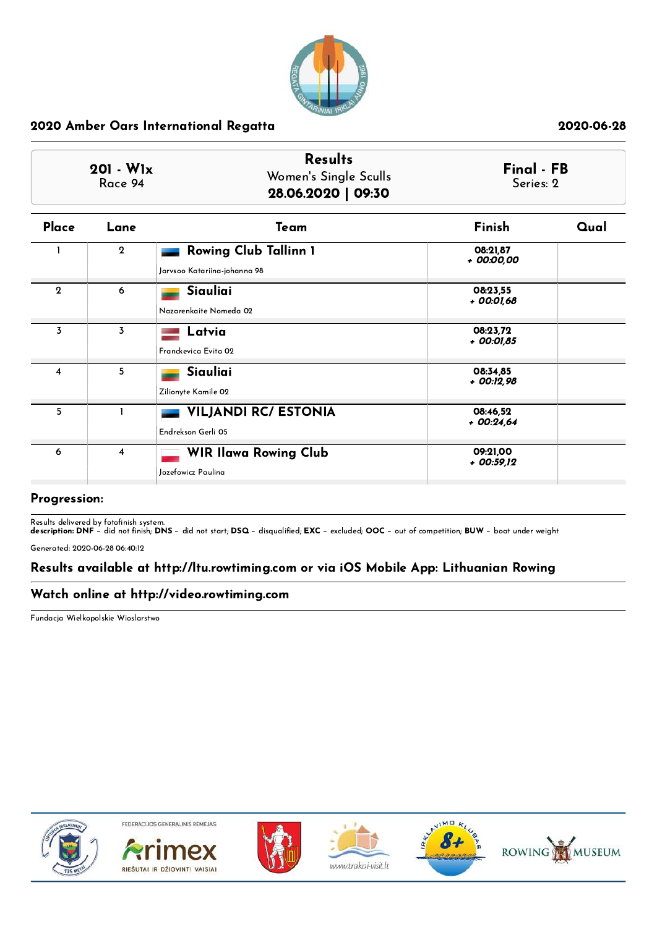

| $201 - W1x$<br>Race 94 |                         | <b>Results</b><br>Women's Single Sculls<br>28.06.2020   09:30 | Final - FB<br>Series: 2 |      |
|------------------------|-------------------------|---------------------------------------------------------------|-------------------------|------|
| Place                  | Lane                    | Team                                                          | Finish                  | Qual |
|                        | $\overline{2}$          | <b>Rowing Club Tallinn 1</b><br>Jarvsoo Katariina-johanna 98  | 08:21,87<br>+ 00:00,00  |      |
| $\overline{2}$         | 6                       | Siauliai<br>Nazarenkaite Nomeda 02                            | 08:23.55<br>+ 00:01,68  |      |
| 3                      | 3                       | Latvia<br>Franckevica Evita 02                                | 08:23.72<br>+ 00:01,85  |      |
| 4                      | 5                       | Siauliai<br>Zilionyte Kamile 02                               | 08:34.85<br>+ 00:12,98  |      |
| 5                      | 1                       | <b>VILJANDI RC/ ESTONIA</b><br>Endrekson Gerli 05             | 08:46,52<br>$+00:24,64$ |      |
| 6                      | $\overline{\mathbf{4}}$ | <b>WIR Ilawa Rowing Club</b><br>Jozefowicz Paulina            | 09:21,00<br>+ 00:59,12  |      |

### Progression:

Results delivered by fotofinish system.<br>**description: DNF** − did not finish; **DNS** − did not start; **DSQ** − disqualified; **EXC** − excluded; OOC − out of competition; **BUW** − boat under weight

Generated: 2020-06-28 06:40:12

# Results available at http://ltu.rowtiming.com or via iOS Mobile App: Lithuanian Rowing

### Watch online at http://video.rowtiming.com

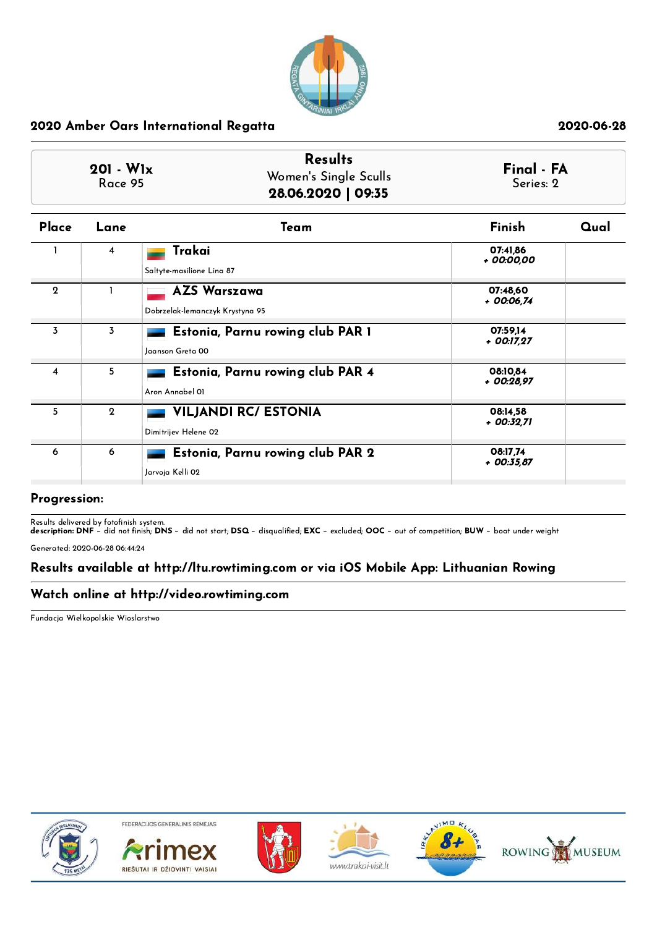

| $201 - W1x$<br>Race 95 |                | <b>Results</b><br>Women's Single Sculls<br>28.06.2020   09:35 | Final - FA<br>Series: 2  |      |
|------------------------|----------------|---------------------------------------------------------------|--------------------------|------|
| Place                  | Lane           | Team                                                          | Finish                   | Qual |
|                        | $\overline{4}$ | Trakai<br>Saltyte-masilione Lina 87                           | 07:41,86<br>+ 00:00,00   |      |
| $\mathbf{2}$           |                | <b>AZS Warszawa</b><br>Dobrzelak-lemanczyk Krystyna 95        | 07:48,60<br>+ 00:06,74   |      |
| 3                      | 3              | Estonia, Parnu rowing club PAR 1<br>Jaanson Greta 00          | 07:59,14<br>+ 00:17,27   |      |
| 4                      | 5 <sub>1</sub> | Estonia, Parnu rowing club PAR 4<br>Aron Annabel 01           | 08:10.84<br>+ 00:28.97   |      |
| 5.                     | $\mathbf{2}$   | <b>VILJANDI RC/ ESTONIA</b><br>Dimitrijev Helene 02           | 08:14.58<br>+ 00:32.71   |      |
| 6                      | 6              | Estonia, Parnu rowing club PAR 2<br>Jarvoja Kelli 02          | 08:17.74<br>$+$ 00:35.87 |      |

#### Progression:

Results delivered by fotofinish system.<br>**description: DNF** − did not finish; **DNS** − did not start; **DSQ** − disqualified; **EXC** − excluded; OOC − out of competition; **BUW** − boat under weight

Generated: 2020-06-28 06:44:24

# Results available at http://ltu.rowtiming.com or via iOS Mobile App: Lithuanian Rowing

# Watch online at http://video.rowtiming.com

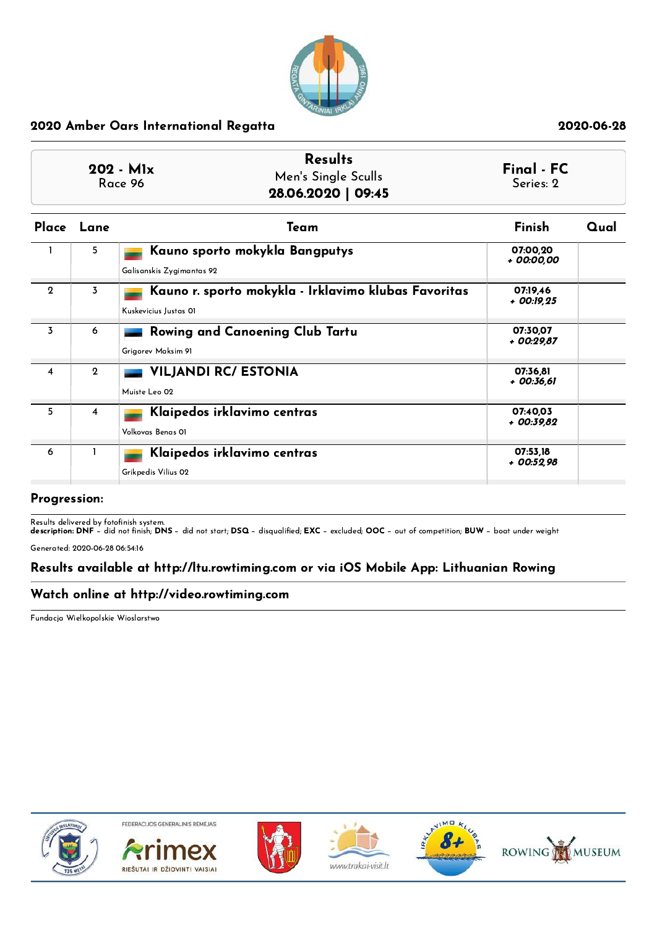

|              |              | <b>Results</b><br>$202 - M1x$<br>Men's Single Sculls<br>Race 96<br>28.06.2020   09:45 | Final - FC<br>Series: 2 |      |
|--------------|--------------|---------------------------------------------------------------------------------------|-------------------------|------|
|              | Place Lane   | Team                                                                                  | Finish                  | Qual |
|              | 5.           | Kauno sporto mokykla Bangputys<br>Galisanskis Zygimantas 92                           | 07:00,20<br>+ 00:00,00  |      |
| $\mathbf{2}$ | 3            | Kauno r. sporto mokykla - Irklavimo klubas Favoritas<br>Kuskevicius Justas OI         | 07:19.46<br>+ 00:19.25  |      |
| 3            | 6            | Rowing and Canoening Club Tartu<br>Grigorev Maksim 91                                 | 07:30.07<br>$+00:29.87$ |      |
| 4            | $\mathbf{2}$ | <b>VILJANDI RC/ ESTONIA</b><br>Muiste Leo 02                                          | 07:36.81<br>+ 00:36,61  |      |
| 5            | 4            | Klaipedos irklavimo centras<br>Volkovas Benas OI                                      | 07:40.03<br>$+00:39.82$ |      |
| 6            | 1            | Klaipedos irklavimo centras<br>Grikpedis Vilius 02                                    | 07:53.18<br>+ 00:52.98  |      |

#### Progression:

Results delivered by fotofinish system.<br>**description: DNF** − did not finish; **DNS** − did not start; **DSQ** − disqualified; **EXC** − excluded; OOC − out of competition; **BUW** − boat under weight

Generated: 2020-06-28 06:54:16

# Results available at http://ltu.rowtiming.com or via iOS Mobile App: Lithuanian Rowing

### Watch online at http://video.rowtiming.com

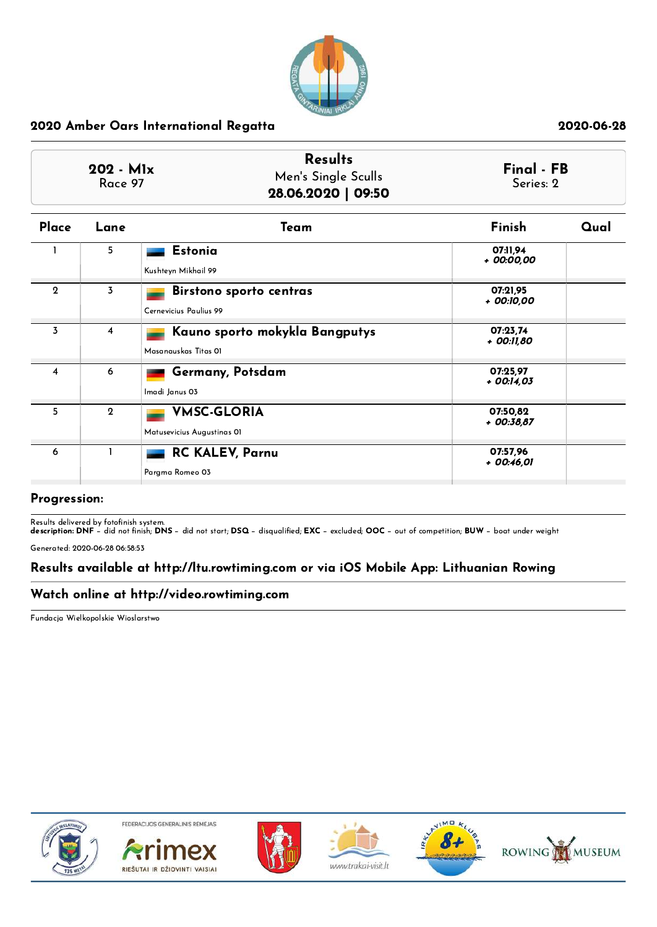

| $202 - M1x$<br>Race 97  |                | <b>Results</b><br>Men's Single Sculls<br>28.06.2020   09:50 | Final - FB<br>Series: 2 |      |
|-------------------------|----------------|-------------------------------------------------------------|-------------------------|------|
| Place                   | Lane           | Team                                                        | Finish                  | Qual |
|                         | 5              | <b>Estonia</b><br>Kushteyn Mikhail 99                       | 07:11.94<br>+ 00:00,00  |      |
| $\mathbf 2$             | 3              | Birstono sporto centras<br>Cernevicius Paulius 99           | 07:21,95<br>+ 00:10,00  |      |
| $\overline{3}$          | 4              | Kauno sporto mokykla Bangputys<br>Masanauskas Titas OI      | 07:23.74<br>+ 00:11,80  |      |
| $\overline{\mathbf{4}}$ | 6              | Germany, Potsdam<br>Imadi Janus 03                          | 07:25.97<br>+ 00:14,03  |      |
| 5                       | $\overline{2}$ | <b>VMSC-GLORIA</b><br>Matusevicius Augustinas 01            | 07:50.82<br>$+00:38.87$ |      |
| 6                       |                | <b>RC KALEV, Parnu</b><br>Pargma Romeo 03                   | 07:57,96<br>+ 00:46,01  |      |

### Progression:

Results delivered by fotofinish system.<br>**description: DNF** − did not finish; **DNS** − did not start; **DSQ** − disqualified; **EXC** − excluded; OOC − out of competition; **BUW** − boat under weight

Generated: 2020-06-28 06:58:53

# Results available at http://ltu.rowtiming.com or via iOS Mobile App: Lithuanian Rowing

### Watch online at http://video.rowtiming.com

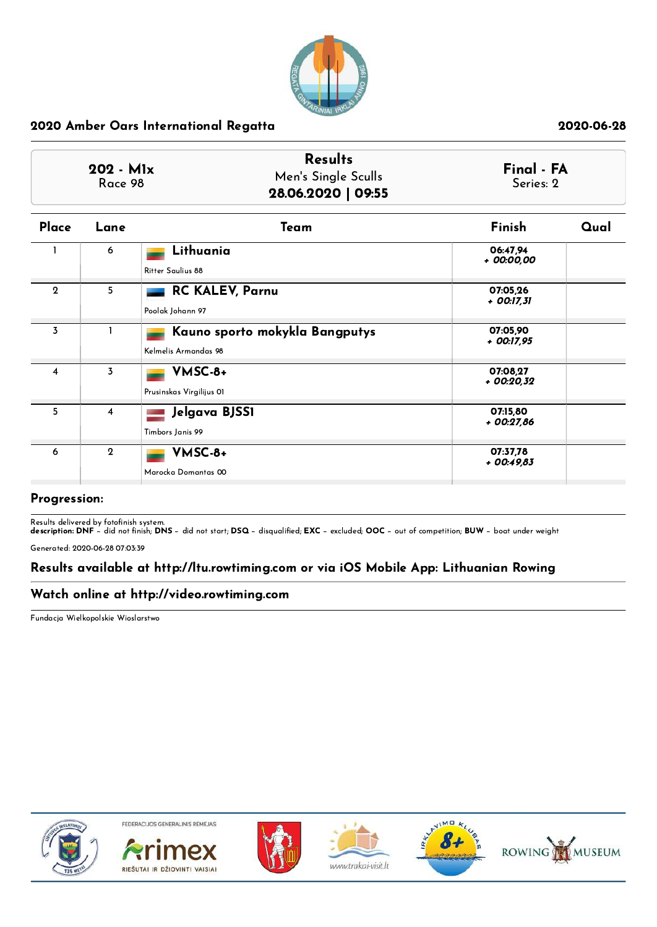

| $202 - M1x$<br>Race 98 |                | <b>Results</b><br>Men's Single Sculls<br>28.06.2020   09:55 | Final - FA<br>Series: 2 |      |
|------------------------|----------------|-------------------------------------------------------------|-------------------------|------|
| Place                  | Lane           | Team                                                        | Finish                  | Qual |
|                        | 6              | Lithuania<br>Ritter Saulius 88                              | 06:47.94<br>+ 00:00,00  |      |
| $\mathbf 2$            | 5              | <b>RC KALEV, Parnu</b><br>Poolak Johann 97                  | 07:05,26<br>+ 00:17,31  |      |
| 3                      |                | Kauno sporto mokykla Bangputys<br>Kelmelis Armandas 98      | 07:05.90<br>+ 00:17,95  |      |
| 4                      | 3              | VMSC-8+<br>Prusinskas Virgilijus OI                         | 07:08.27<br>+ 00:20,32  |      |
| 5 <sub>1</sub>         | $\overline{4}$ | Jelgava BJSS1<br>Timbors Janis 99                           | 07:15.80<br>$+00:27,86$ |      |
| 6                      | $\mathbf{2}$   | VMSC-8+<br>Marocka Domantas 00                              | 07:37,78<br>$+00:49.83$ |      |

### Progression:

Results delivered by fotofinish system.<br>**description: DNF** − did not finish; **DNS** − did not start; **DSQ** − disqualified; **EXC** − excluded; OOC − out of competition; **BUW** − boat under weight

Generated: 2020-06-28 07:03:39

# Results available at http://ltu.rowtiming.com or via iOS Mobile App: Lithuanian Rowing

# Watch online at http://video.rowtiming.com

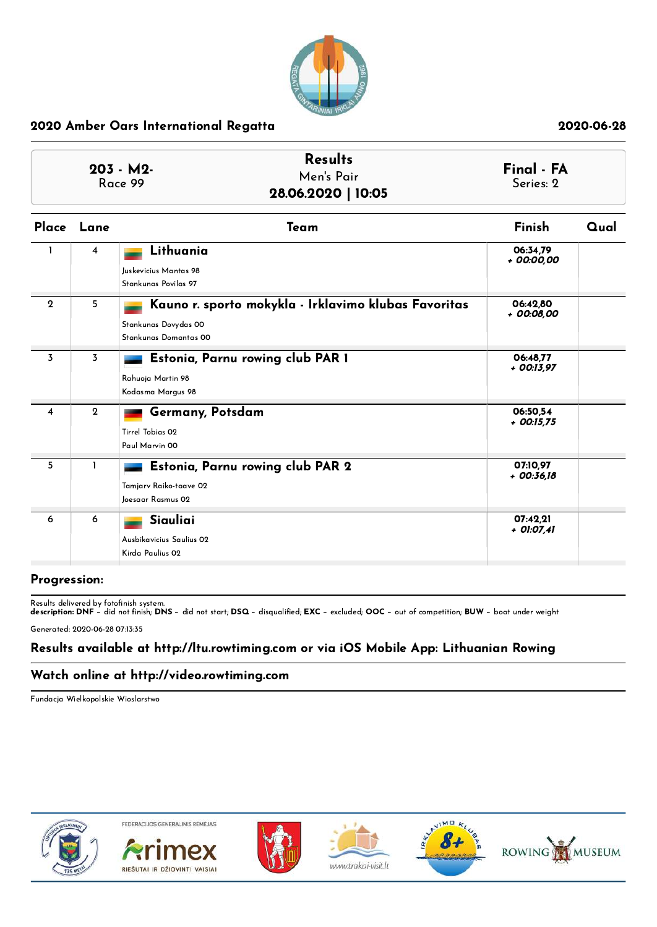

| $203 - M2$<br>Race 99 |                | <b>Results</b><br>Men's Pair<br>28.06.2020   10:05         | Final - FA<br>Series: 2 |      |
|-----------------------|----------------|------------------------------------------------------------|-------------------------|------|
| Place                 | Lane           | Team                                                       | Finish                  | Qual |
|                       | $\overline{4}$ | Lithuania<br>Juskevicius Mantas 98<br>Stankunas Povilas 97 | 06:34,79<br>+ 00:00,00  |      |
|                       |                |                                                            |                         |      |

| $\mathbf{2}$ | 5            | Kauno r. sporto mokykla - Irklavimo klubas Favoritas<br>Stankunas Dovydas 00<br>Stankunas Domantas 00 | 06:42.80<br>+ 00:08,00   |  |
|--------------|--------------|-------------------------------------------------------------------------------------------------------|--------------------------|--|
| 3            | 3            | Estonia, Parnu rowing club PAR 1<br>Rahuoja Martin 98<br>Kodasma Margus 98                            | 06:48,77<br>+ 00:13,97   |  |
| 4            | $\mathbf{2}$ | Germany, Potsdam<br>Tirrel Tobias 02<br>Paul Marvin 00                                                | 06:50.54<br>$+$ 00:15,75 |  |
| 5            |              | Estonia, Parnu rowing club PAR 2<br>Tamjarv Raiko-taave 02<br>Joesaar Rasmus 02                       | 07:10.97<br>+ 00:36,18   |  |
| 6            | 6            | Siauliai<br>Ausbikavicius Saulius 02<br>Kirda Paulius 02                                              | 07:42,21<br>+ 01:07,41   |  |

### Progression:

Results delivered by fotofinish system.<br>**description: DNF** − did not finish; **DNS** − did not start; **DSQ** − disqualified; **EXC** − excluded; OOC − out of competition; **BUW** − boat under weight

Generated: 2020-06-28 07:13:35

# Results available at http://ltu.rowtiming.com or via iOS Mobile App: Lithuanian Rowing

### Watch online at http://video.rowtiming.com

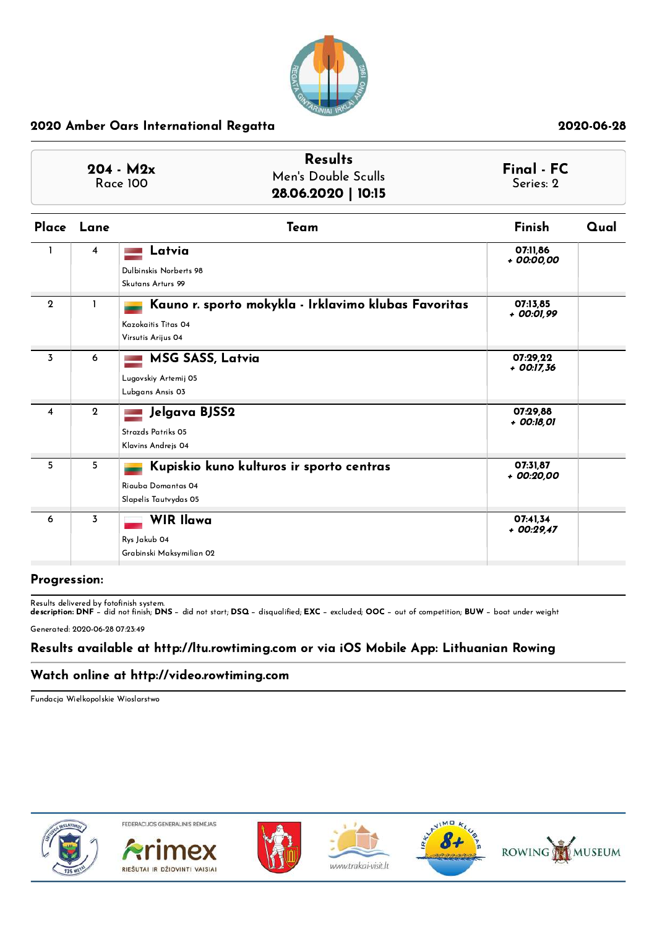

|              |                | <b>Results</b><br>$204 - M2x$<br>Men's Double Sculls<br><b>Race 100</b><br>28.06.2020   10:15     | Final - FC<br>Series: 2 |      |
|--------------|----------------|---------------------------------------------------------------------------------------------------|-------------------------|------|
| Place        | Lane           | Team                                                                                              | Finish                  | Qual |
|              | 4              | Latvia<br>Dulbinskis Norberts 98<br>Skutans Arturs 99                                             | 07:11,86<br>+ 00:00,00  |      |
| $\mathbf{2}$ | 1              | Kauno r. sporto mokykla - Irklavimo klubas Favoritas<br>Kazokaitis Titas 04<br>Virsutis Arijus 04 | 07:13,85<br>+ 00:01,99  |      |
| 3            | 6              | <b>MSG SASS, Latvia</b><br>Lugovskiy Artemij 05<br>Lubgans Ansis 03                               | 07:29,22<br>+ 00:17,36  |      |
| 4            | $\mathbf{2}$   | Jelgava BJSS2<br>Strazds Patriks 05<br>Klavins Andrejs 04                                         | 07:29,88<br>+ 00:18,01  |      |
| 5            | 5              | Kupiskio kuno kulturos ir sporto centras<br>Riauba Domantas 04<br>Slapelis Tautvydas 05           | 07:31.87<br>+ 00:20,00  |      |
| 6            | $\overline{3}$ | <b>WIR Ilawa</b><br>Rys Jakub 04<br>Grabinski Maksymilian 02                                      | 07:41,34<br>$+00:29.47$ |      |

### Progression:

Results delivered by fotofinish system.<br>**description: DNF** − did not finish; **DNS** − did not start; **DSQ** − disqualified; **EXC** − excluded; OOC − out of competition; **BUW** − boat under weight

Generated: 2020-06-28 07:23:49

# Results available at http://ltu.rowtiming.com or via iOS Mobile App: Lithuanian Rowing

### Watch online at http://video.rowtiming.com

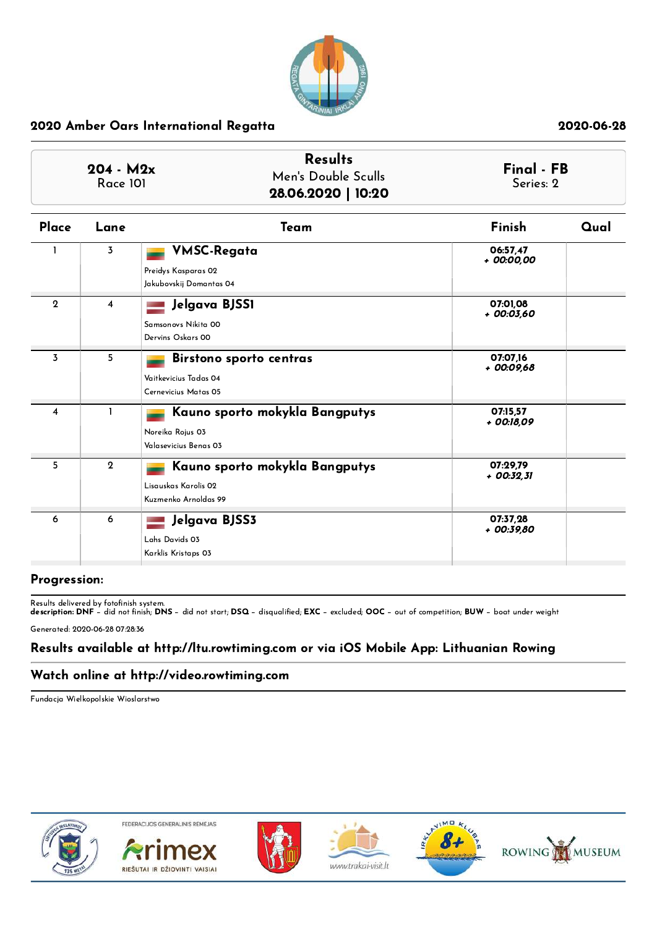

| $204 - M2x$<br><b>Race 101</b> |                | <b>Results</b><br>Men's Double Sculls<br>28.06.2020   10:20                    |                         | Final - FB<br>Series: 2 |
|--------------------------------|----------------|--------------------------------------------------------------------------------|-------------------------|-------------------------|
| Place                          | Lane           | Team                                                                           | Finish                  | Qual                    |
|                                | $\overline{3}$ | <b>VMSC-Regata</b><br>Preidys Kasparas 02<br>Jakubovskij Domantas 04           | 06:57,47<br>+ 00:00,00  |                         |
| $\mathbf 2$                    | 4              | Jelgava BJSS1<br>Samsonovs Nikita 00<br>Dervins Oskars 00                      | 07:01,08<br>+ 00:03,60  |                         |
| 3                              | 5              | Birstono sporto centras<br>Vaitkevicius Tadas 04<br>Cernevicius Matas 05       | 07:07.16<br>+ 00:09,68  |                         |
| $\overline{\mathbf{4}}$        | $\mathbf{I}$   | Kauno sporto mokykla Bangputys<br>Noreika Rojus 03<br>Valasevicius Benas 03    | 07:15.57<br>+ 00:18,09  |                         |
| 5                              | $\mathbf{2}$   | Kauno sporto mokykla Bangputys<br>Lisauskas Karolis 02<br>Kuzmenko Arnoldas 99 | 07:29,79<br>$+00:32.31$ |                         |
| 6                              | 6              | Jelgava BJSS3<br>Lahs Davids 03<br>Karklis Kristaps 03                         | 07:37,28<br>+ 00:39,80  |                         |

### Progression:

Results delivered by fotofinish system.<br>**description: DNF** − did not finish; **DNS** − did not start; **DSQ** − disqualified; **EXC** − excluded; OOC − out of competition; **BUW** − boat under weight

Generated: 2020-06-28 07:28:36

# Results available at http://ltu.rowtiming.com or via iOS Mobile App: Lithuanian Rowing

## Watch online at http://video.rowtiming.com

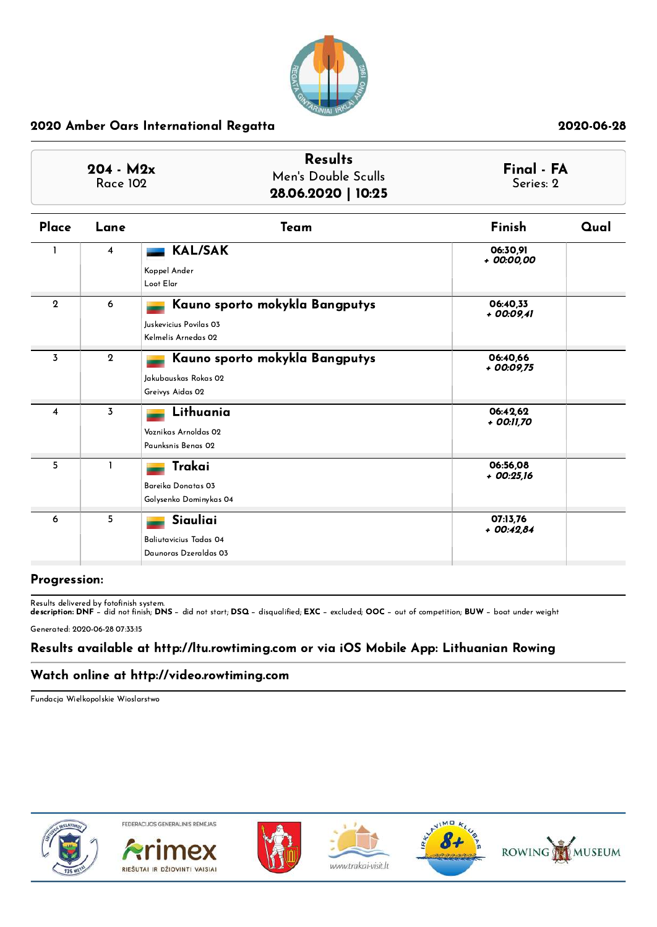

| $204 - M2x$<br><b>Race 102</b> |                | <b>Results</b><br>Men's Double Sculls<br>28.06.2020   10:25                     |                         | Final - FA<br>Series: 2 |
|--------------------------------|----------------|---------------------------------------------------------------------------------|-------------------------|-------------------------|
| Place                          | Lane           | Team                                                                            | Finish                  | Qual                    |
|                                | $\overline{4}$ | <b>KAL/SAK</b><br>Koppel Ander<br>Loot Elar                                     | 06:30,91<br>+ 00:00,00  |                         |
| $\mathbf 2$                    | 6              | Kauno sporto mokykla Bangputys<br>Juskevicius Povilas 03<br>Kelmelis Arnedas 02 | 06:40.33<br>$+00:09.41$ |                         |
| $\overline{3}$                 | $\overline{2}$ | Kauno sporto mokykla Bangputys<br>Jakubauskas Rokas 02<br>Greivys Aidas 02      | 06:40.66<br>+ 00:09,75  |                         |
| 4                              | 3              | Lithuania<br>Voznikas Arnoldas 02<br>Paunksnis Benas 02                         | 06:42,62<br>+ 00:11,70  |                         |
| 5                              | $\mathbf{I}$   | Trakai<br>Bareika Donatas 03<br>Golysenko Dominykas 04                          | 06:56,08<br>$+00:25,16$ |                         |
| 6                              | 5              | Siauliai<br><b>Baliutavicius Tadas 04</b><br>Daunoras Dzeraldas 03              | 07:13,76<br>$+00:42,84$ |                         |

### Progression:

Results delivered by fotofinish system.<br>**description: DNF** − did not finish; **DNS** − did not start; **DSQ** − disqualified; **EXC** − excluded; OOC − out of competition; **BUW** − boat under weight

Generated: 2020-06-28 07:33:15

# Results available at http://ltu.rowtiming.com or via iOS Mobile App: Lithuanian Rowing

## Watch online at http://video.rowtiming.com

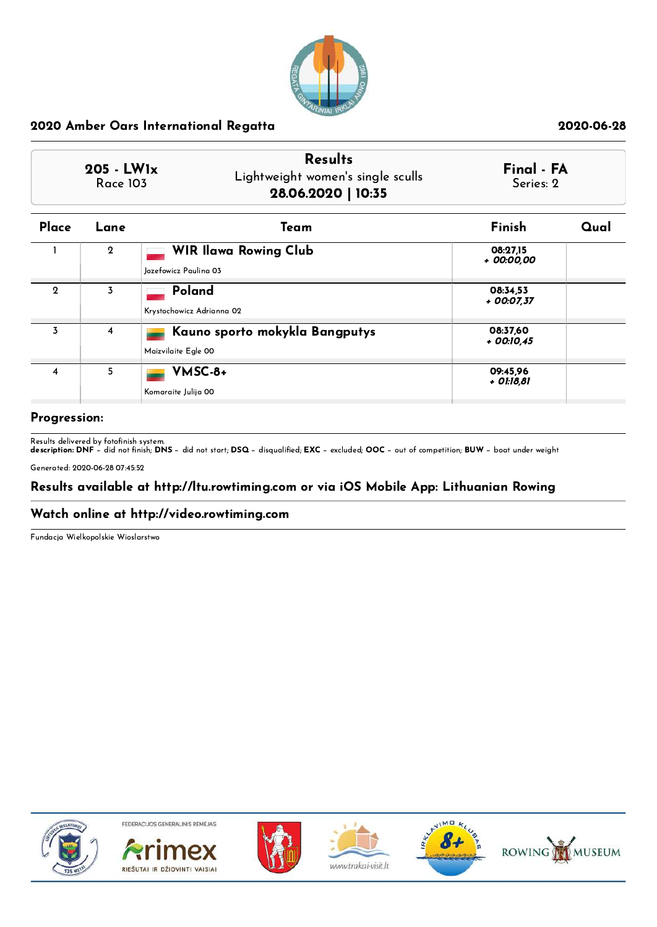

| $205 - LW1x$<br><b>Race 103</b> | <b>Results</b><br>Lightweight women's single sculls<br>28.06.2020   10:35 | Final - FA<br>Series: 2 |  |
|---------------------------------|---------------------------------------------------------------------------|-------------------------|--|
|                                 |                                                                           |                         |  |

| Place       | Lane        | Team                                                  | Finish                   | Qual |
|-------------|-------------|-------------------------------------------------------|--------------------------|------|
|             | $\mathbf 2$ | <b>WIR Ilawa Rowing Club</b><br>Jozefowicz Paulina 03 | 08:27,15<br>+ 00:00,00   |      |
| $\mathbf 2$ | 3           | Poland<br>Krystochowicz Adrianna 02                   | 08:34.53<br>$+$ 00:07,37 |      |
| 3           | 4           | Kauno sporto mokykla Bangputys<br>Maizvilaite Egle 00 | 08:37,60<br>$+$ 00:10.45 |      |
| 4           | 5           | VMSC-8+<br>Komaraite Julija 00                        | 09:45,96<br>+ 01:18,81   |      |

## Progression:

Results delivered by fotofinish system.<br>**description: DNF** − did not finish; **DNS** − did not start; **DSQ** − disqualified; **EXC** − excluded; **OOC** − out of competition; **BUW** − boat under weight

Generated: 2020-06-28 07:45:52

## Results available at http://ltu.rowtiming.com or via iOS Mobile App: Lithuanian Rowing

### Watch online at http://video.rowtiming.com

Fundacja Wielkopolskie Wioslarstwo



FEDERACIJOS GENERALINIS RÉMÉJAS









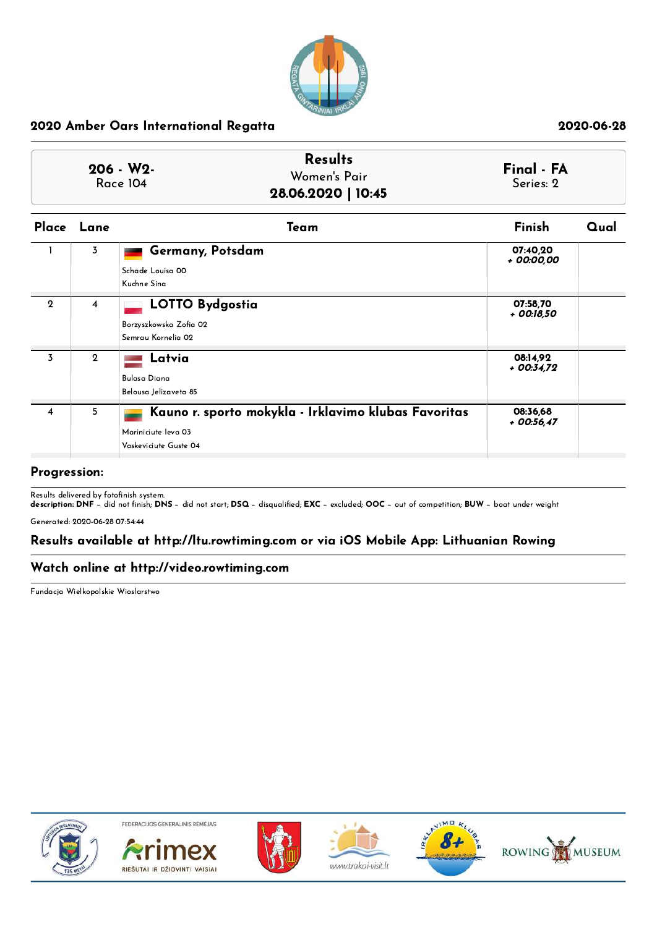

| $206 - W2$<br><b>Race 104</b> | <b>Results</b><br>Women's Pair<br>28.06.2020   10:45 | Final - FA<br>Series: 2 |
|-------------------------------|------------------------------------------------------|-------------------------|
|                               |                                                      |                         |

| Place                   | Lane        | Team                                                                                                 | Finish                  | Qual |
|-------------------------|-------------|------------------------------------------------------------------------------------------------------|-------------------------|------|
|                         | 3           | Germany, Potsdam<br>Schade Louisa 00<br>Kuchne Sina                                                  | 07:40,20<br>+ 00:00,00  |      |
| $\mathbf{2}$            | 4           | <b>LOTTO Bydgostia</b><br>Borzyszkowska Zofia 02<br>Semrau Kornelia 02                               | 07:58,70<br>+ 00:18,50  |      |
| $\overline{3}$          | $\mathbf 2$ | Latvia<br>Bulasa Diana<br>Belousa Jelizaveta 85                                                      | 08:14,92<br>$+00:34.72$ |      |
| $\overline{\mathbf{4}}$ | 5           | Kauno r. sporto mokykla - Irklavimo klubas Favoritas<br>Mariniciute leva 03<br>Vaskeviciute Guste 04 | 08:36,68<br>$+00:56.47$ |      |

### Progression:

Results delivered by fotofinish system.<br>**description: DNF** − did not finish; **DNS** − did not start; **DSQ** − disqualified; **EXC** − excluded; OOC − out of competition; **BUW** − boat under weight

Generated: 2020-06-28 07:54:44

# Results available at http://ltu.rowtiming.com or via iOS Mobile App: Lithuanian Rowing

### Watch online at http://video.rowtiming.com

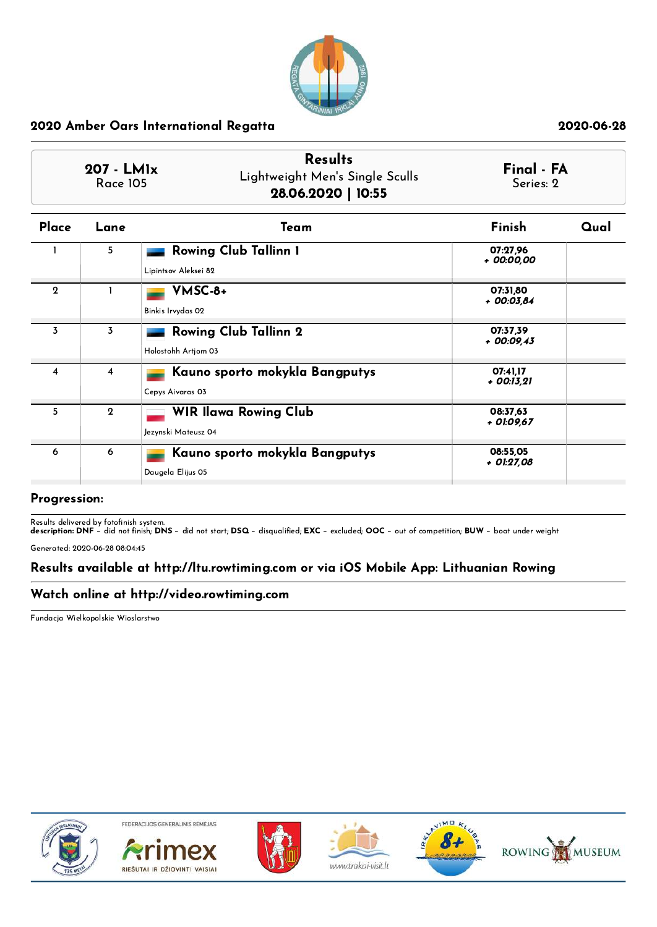

|              | <b>Results</b><br>$207 - LM1x$<br>Lightweight Men's Single Sculls<br><b>Race 105</b><br>28.06.2020   10:55 |                                                      | Final - FA<br>Series: 2 |      |
|--------------|------------------------------------------------------------------------------------------------------------|------------------------------------------------------|-------------------------|------|
| Place        | Lane                                                                                                       | Team                                                 | Finish                  | Qual |
|              | 5.                                                                                                         | <b>Rowing Club Tallinn 1</b><br>Lipintsov Aleksei 82 | 07:27.96<br>+ 00:00.00  |      |
| $\mathbf{2}$ |                                                                                                            | VMSC-8+<br>Binkis Irvydas 02                         | 07:31,80<br>+ 00:03.84  |      |
| 3            | 3                                                                                                          | <b>Rowing Club Tallinn 2</b><br>Holostohh Artiom 03  | 07:37,39<br>+ 00:09,43  |      |
| 4            | $\overline{4}$                                                                                             | Kauno sporto mokykla Bangputys<br>Cepys Aivaras 03   | 07:41.17<br>+ 00:13,21  |      |
| 5            | $\mathbf{2}$                                                                                               | <b>WIR Ilawa Rowing Club</b><br>Jezynski Mateusz 04  | 08:37.63<br>+ 01:09,67  |      |
| 6            | 6                                                                                                          | Kauno sporto mokykla Bangputys<br>Daugela Elijus 05  | 08:55.05<br>+ 01:27,08  |      |

### Progression:

Results delivered by fotofinish system.<br>**description: DNF** − did not finish; **DNS** − did not start; **DSQ** − disqualified; **EXC** − excluded; OOC − out of competition; **BUW** − boat under weight

Generated: 2020-06-28 08:04:45

# Results available at http://ltu.rowtiming.com or via iOS Mobile App: Lithuanian Rowing

# Watch online at http://video.rowtiming.com

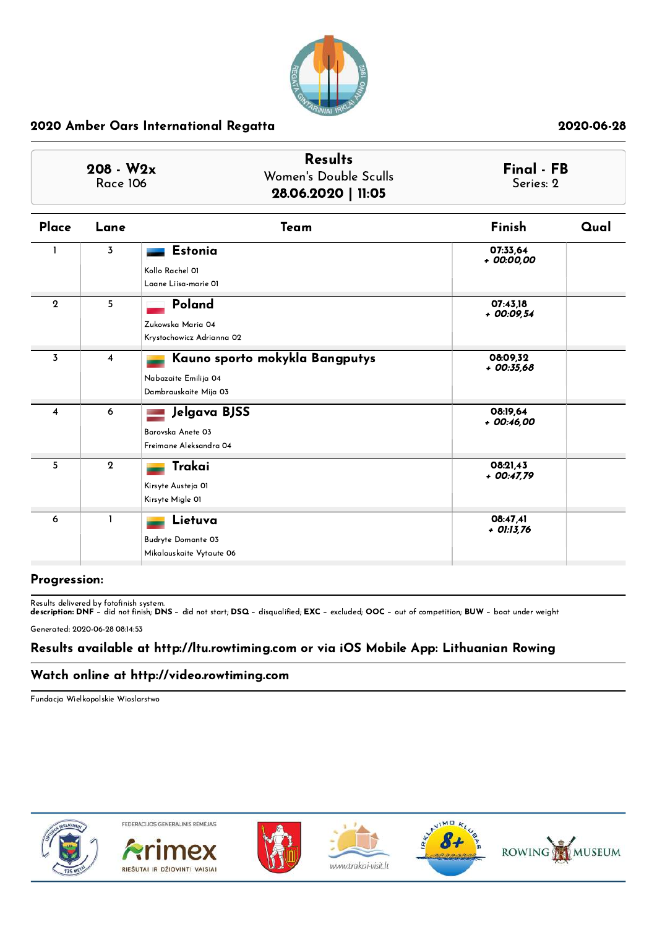

| $208 - W2x$<br><b>Race 106</b> |                | <b>Results</b><br>Women's Double Sculls<br>28.06.2020   11:05                   |                          | Final - FB<br>Series: 2 |
|--------------------------------|----------------|---------------------------------------------------------------------------------|--------------------------|-------------------------|
| Place                          | Lane           | Team                                                                            | Finish                   | Qual                    |
|                                | 3              | <b>Estonia</b><br>Kollo Rachel 01<br>Laane Liisa-marie 01                       | 07:33.64<br>+ 00:00,00   |                         |
| $\mathbf{2}$                   | 5              | Poland<br>Zukowska Maria 04<br>Krystochowicz Adrianna 02                        | 07:43,18<br>+ 00:09,54   |                         |
| $\overline{3}$                 | 4              | Kauno sporto mokykla Bangputys<br>Nabazaite Emilija 04<br>Dambrauskaite Mija 03 | 08:09.32<br>$+00:35,68$  |                         |
| 4                              | 6              | Jelgava BJSS<br>Barovska Anete 03<br>Freimane Aleksandra 04                     | 08:19.64<br>$+00:46,00$  |                         |
| 5                              | $\overline{2}$ | Trakai<br>Kirsyte Austeja 01<br>Kirsyte Migle 01                                | 08:21.43<br>$+$ 00:47,79 |                         |
| 6                              | 1              | Lietuva<br><b>Budryte Domante 03</b><br>Mikalauskaite Vytaute 06                | 08:47,41<br>+ 01:13,76   |                         |

### Progression:

Results delivered by fotofinish system.<br>**description: DNF** − did not finish; **DNS** − did not start; **DSQ** − disqualified; **EXC** − excluded; OOC − out of competition; **BUW** − boat under weight

Generated: 2020-06-28 08:14:53

# Results available at http://ltu.rowtiming.com or via iOS Mobile App: Lithuanian Rowing

## Watch online at http://video.rowtiming.com

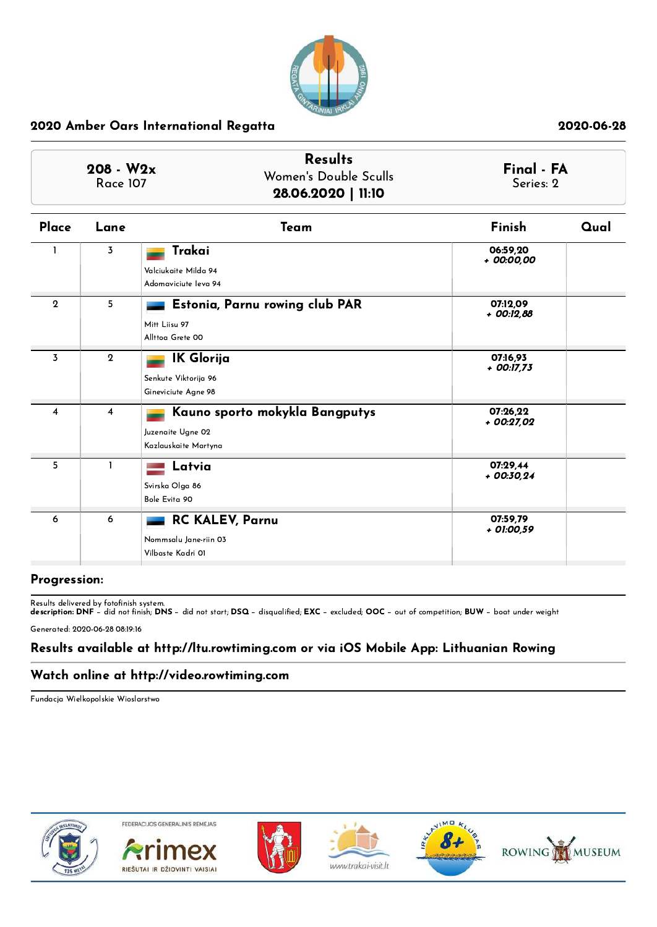

| $208 - W2x$<br><b>Race 107</b> |                | <b>Results</b><br>Women's Double Sculls<br>28.06.2020   11:10               |                          | Final - FA<br>Series: 2 |
|--------------------------------|----------------|-----------------------------------------------------------------------------|--------------------------|-------------------------|
| Place                          | Lane           | Team                                                                        | Finish                   | Qual                    |
|                                | $\overline{3}$ | Trakai<br>Valciukaite Milda 94<br>Adomaviciute leva 94                      | 06:59.20<br>+ 00:00,00   |                         |
| $\mathbf{2}$                   | 5              | Estonia, Parnu rowing club PAR<br>Mitt Liisu 97<br>Allttoa Grete 00         | 07:12.09<br>+ 00:12,88   |                         |
| 3                              | $\overline{2}$ | <b>IK Glorija</b><br>Senkute Viktorija 96<br>Gineviciute Agne 98            | 07:16,93<br>$+$ 00:17,73 |                         |
| 4                              | $\overline{4}$ | Kauno sporto mokykla Bangputys<br>Juzenaite Ugne 02<br>Kazlauskaite Martyna | 07:26,22<br>$+00:27,02$  |                         |
| 5                              | $\mathbf{I}$   | Latvia<br>Svirska Olga 86<br>Bole Evita 90                                  | 07:29.44<br>$+00:30,24$  |                         |
| 6                              | 6              | <b>RC KALEV, Parnu</b><br>Nommsalu Jane-riin 03<br>Vilbaste Kadri 01        | 07:59.79<br>+ 01:00,59   |                         |

### Progression:

Results delivered by fotofinish system.<br>**description: DNF** − did not finish; **DNS** − did not start; **DSQ** − disqualified; **EXC** − excluded; OOC − out of competition; **BUW** − boat under weight

Generated: 2020-06-28 08:19:16

# Results available at http://ltu.rowtiming.com or via iOS Mobile App: Lithuanian Rowing

## Watch online at http://video.rowtiming.com

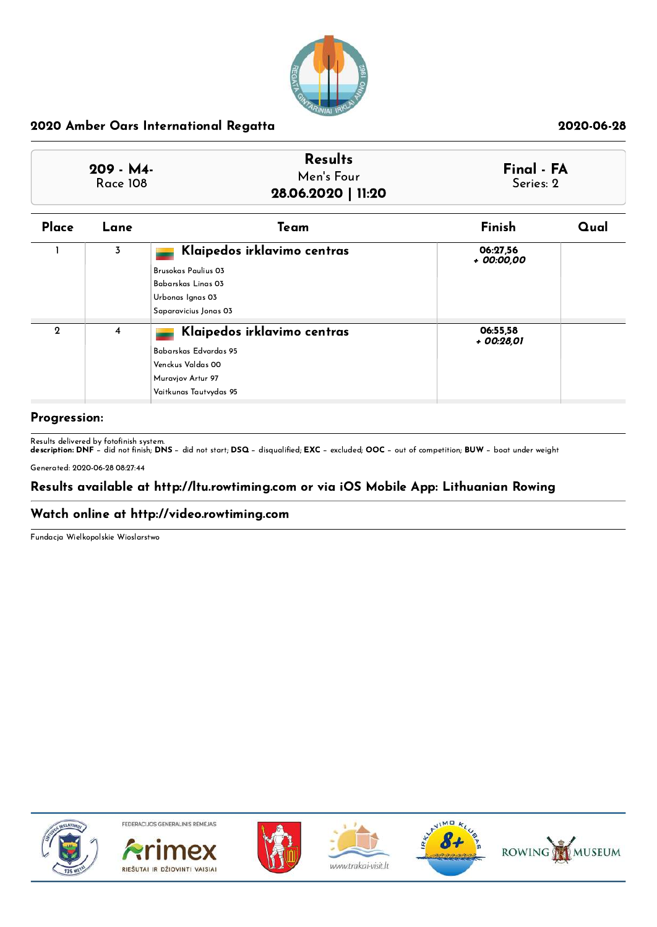

| <b>Results</b><br>Men's Four | Final - FA<br>Series: 2 |
|------------------------------|-------------------------|
|                              |                         |
|                              | 28.06.2020   11:20      |

| Place       | Lane           | Team                                                                                                                         | Finish                 | Qual |
|-------------|----------------|------------------------------------------------------------------------------------------------------------------------------|------------------------|------|
|             | $\overline{3}$ | Klaipedos irklavimo centras<br><b>Brusokas Paulius 03</b><br>Babarskas Linas 03<br>Urbonas Ignas 03<br>Saparavicius Jonas 03 | 06:27,56<br>+ 00:00,00 |      |
| $\mathbf 2$ | 4              | Klaipedos irklavimo centras<br>Babarskas Edvardas 95<br>Venckus Valdas 00<br>Muravjov Artur 97<br>Vaitkunas Tautvydas 95     | 06:55,58<br>+ 00:28,01 |      |

### Progression:

Results delivered by fotofinish system.<br>**description: DNF** − did not finish; **DNS** − did not start; **DSQ** − disqualified; **EXC** − excluded; **OOC** − out of competition; **BUW** − boat under weight Generated: 2020-06-28 08:27:44

## Results available at http://ltu.rowtiming.com or via iOS Mobile App: Lithuanian Rowing

## Watch online at http://video.rowtiming.com

Fundacja Wielkopolskie Wioslarstwo



FEDERACIJOS GENERALINIS RÉMÉJAS









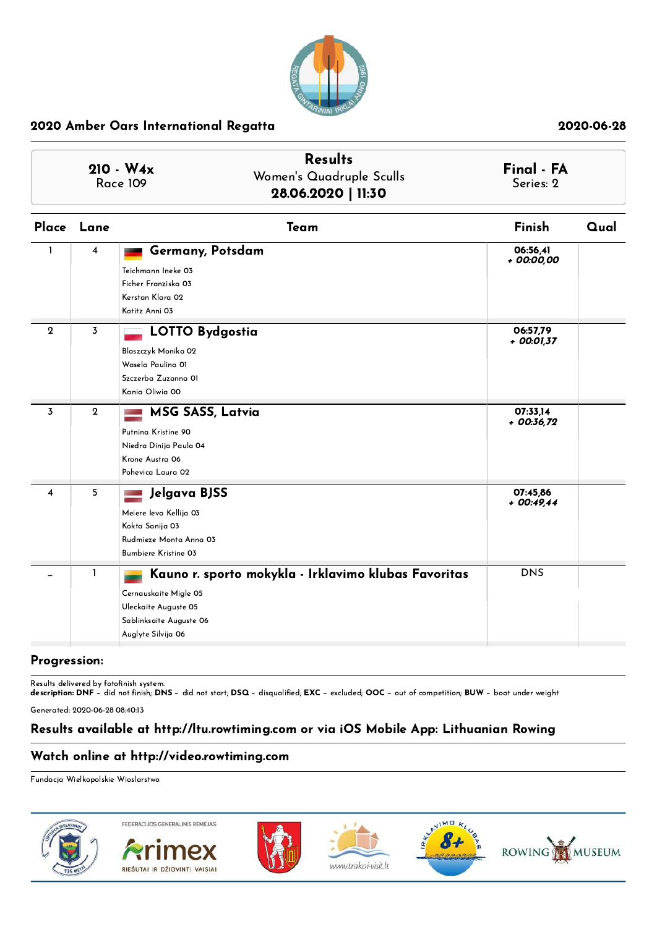

| $210 - W_4x$<br><b>Race 109</b> | <b>Results</b><br>Women's Quadruple Sculls<br>28.06.2020   11:30 | Final - FA<br>Series: 2 |
|---------------------------------|------------------------------------------------------------------|-------------------------|
|                                 |                                                                  |                         |

|              | Place Lane     | Team                                                                                                                                                   | Finish                   | Qual |
|--------------|----------------|--------------------------------------------------------------------------------------------------------------------------------------------------------|--------------------------|------|
| 1.           | 4              | Germany, Potsdam<br>Teichmann Ineke 03<br>Ficher Franziska 03<br>Kerstan Klara 02<br>Kotitz Anni 03                                                    | 06:56.41<br>$+00:00,00$  |      |
| $\mathbf{2}$ | $\overline{3}$ | <b>LOTTO Bydgostia</b><br>Blaszczyk Monika 02<br>Wasela Paulina OI<br>Szczerba Zuzanna 01<br>Kania Oliwia 00                                           | 06:57,79<br>$+$ 00:01,37 |      |
| 3            | $\mathbf{2}$   | <b>MSG SASS, Latvia</b><br>Putning Kristine 90<br>Niedra Dinija Paula 04<br>Krone Austra 06<br>Pohevica Laura 02                                       | 07:33,14<br>$+00:36,72$  |      |
| 4            | 5              | Jelgava BJSS<br>Meiere leva Kellija 03<br>Kokta Sanija 03<br>Rudmieze Monta Anna 03<br><b>Bumbiere Kristine 03</b>                                     | 07:45,86<br>$+00:49,44$  |      |
|              | 1              | Kauno r. sporto mokykla - Irklavimo klubas Favoritas<br>Cernauskaite Migle 05<br>Uleckaite Auguste 05<br>Sablinksaite Auguste 06<br>Auglyte Silvija 06 | <b>DNS</b>               |      |

### Progression:

Results delivered by fotofinish system.<br>**description: DNF** − did not finish; **DNS** − did not start; **DSQ** − disqualified; **EXC** − excluded; OOC − out of competition; **BUW** − boat under weight

Generated: 2020-06-28 08:40:13

# Results available at http://ltu.rowtiming.com or via iOS Mobile App: Lithuanian Rowing

# Watch online at http://video.rowtiming.com

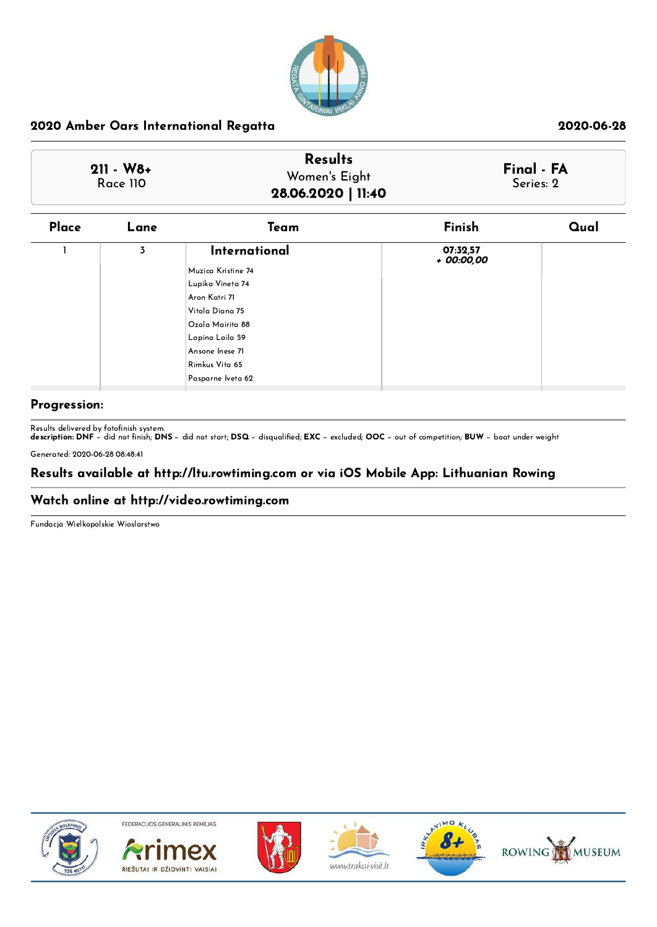

| $211 - W8 +$ | <b>Results</b>     | Final - FA |
|--------------|--------------------|------------|
| Race 110     | Women's Eight      | Series: 2  |
|              | 28.06.2020   11:40 |            |

| Place | Lane | Team               | Finish                 | Qual |
|-------|------|--------------------|------------------------|------|
|       | 3    | International      | 07:32,57<br>+ 00:00,00 |      |
|       |      | Muzica Kristine 74 |                        |      |
|       |      | Lupika Vineta 74   |                        |      |
|       |      | Aron Katri 71      |                        |      |
|       |      | Vitola Diana 75    |                        |      |
|       |      | Ozola Mairita 88   |                        |      |
|       |      | Lapina Laila 59    |                        |      |
|       |      | Ansone Inese 71    |                        |      |
|       |      | Rimkus Vita 65     |                        |      |
|       |      | Pasparne Iveta 62  |                        |      |

# Progression:

Results delivered by fotofinish system.<br>**description: DNF** − did not finish; **DNS** − did not start; **DSQ** − disqualified; **EXC** − excluded; OOC − out of competition; **BUW** − boat under weight

Generated: 2020-06-28 08:48:41

# Results available at http://ltu.rowtiming.com or via iOS Mobile App: Lithuanian Rowing

# Watch online at http://video.rowtiming.com

Fundacja Wielkopolskie Wioslarstwo



FEDERACIJOS GENERALINIS RÉMÉJAS











www.trakai-visit.lt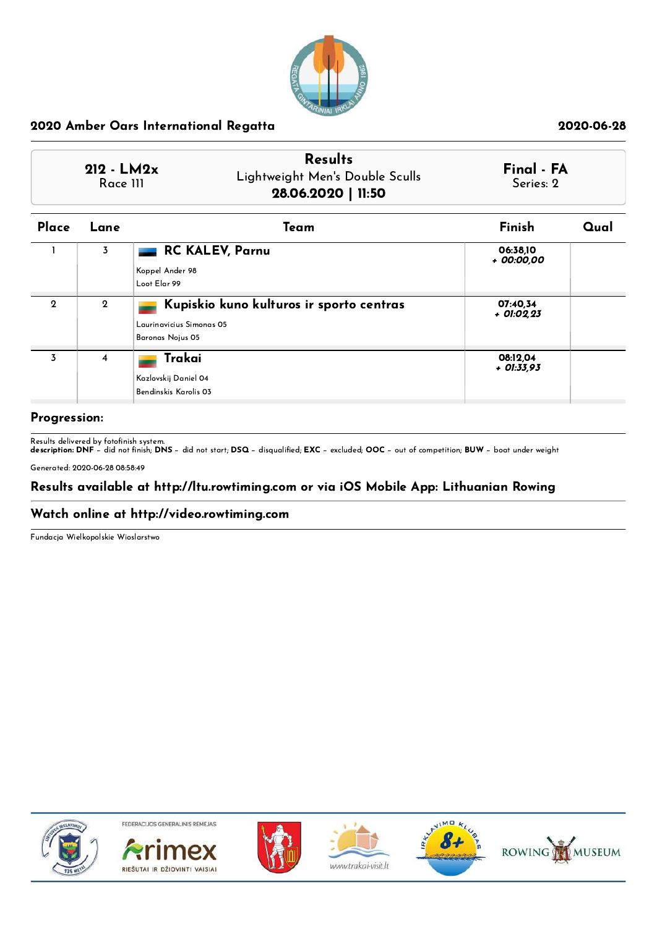

| $212 - LM2x$<br>Race III | <b>Results</b><br>Lightweight Men's Double Sculls<br>28.06.2020   11:50 | Final - FA<br>Series: 2 |  |
|--------------------------|-------------------------------------------------------------------------|-------------------------|--|
|                          |                                                                         |                         |  |

| Place        | Lane         | Team                                                                                     | Finish                   | Qual |
|--------------|--------------|------------------------------------------------------------------------------------------|--------------------------|------|
|              | 3            | <b>RC KALEV, Parnu</b><br>Koppel Ander 98<br>Loot Elar 99                                | 06:38,10<br>+ 00:00,00   |      |
| $\mathbf{Q}$ | $\mathbf{Q}$ | Kupiskio kuno kulturos ir sporto centras<br>Laurinavicius Simonas 05<br>Baronas Nojus 05 | 07:40.34<br>$+$ 01:02.23 |      |
| 3            | 4            | Trakai<br>Kazlovskij Daniel 04<br>Bendinskis Karolis 03                                  | 08:12,04<br>$+$ 01:33,93 |      |

## Progression:

Results delivered by fotofinish system.<br>**description: DNF** − did not finish; **DNS** − did not start; **DSQ** − disqualified; **EXC** − excluded; **OOC** − out of competition; **BUW** − boat under weight Generated: 2020-06-28 08:58:49

# Results available at http://ltu.rowtiming.com or via iOS Mobile App: Lithuanian Rowing

### Watch online at http://video.rowtiming.com

Fundacja Wielkopolskie Wioslarstwo



FEDERACIJOS GENERALINIS RÉMÉJAS









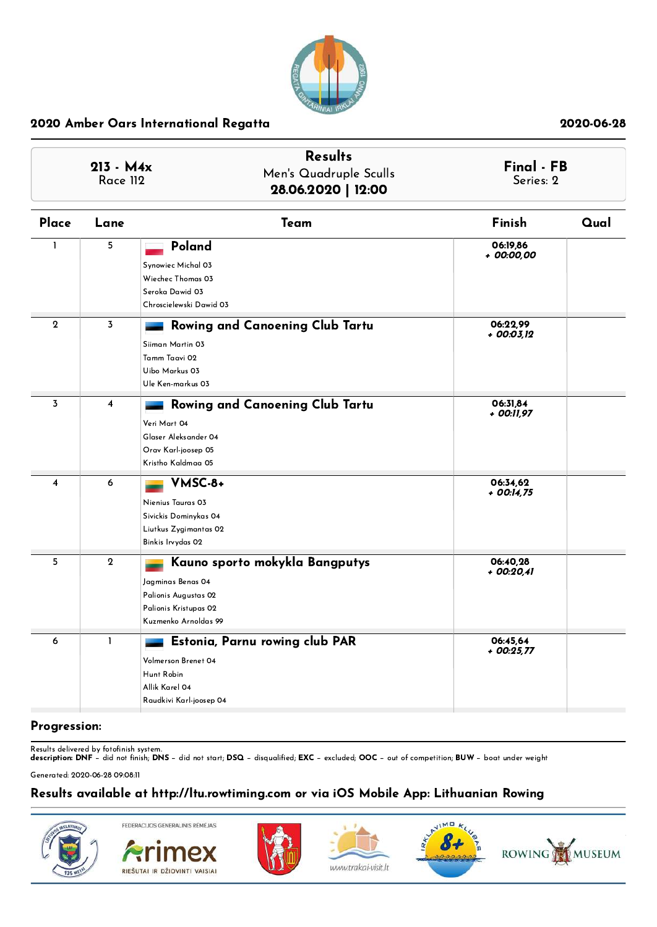

| $213 - M4x$<br><b>Race 112</b> |                         | <b>Results</b><br>Men's Quadruple Sculls<br>28.06.2020   12:00                                                               | Final - FB<br>Series: 2  |      |
|--------------------------------|-------------------------|------------------------------------------------------------------------------------------------------------------------------|--------------------------|------|
| Place                          | Lane                    | Team                                                                                                                         | Finish                   | Qual |
| $\mathbf{I}$                   | 5                       | Poland<br>Synowiec Michal 03<br>Wiechec Thomas 03<br>Seroka Dawid 03<br>Chroscielewski Dawid 03                              | 06:19,86<br>+ 00:00,00   |      |
| $\mathbf 2$                    | 3                       | Rowing and Canoening Club Tartu<br>Siiman Martin 03<br>Tamm Taavi 02<br>Uibo Markus 03<br>Ule Ken-markus 03                  | 06:22.99<br>$+$ 00:03,12 |      |
| 3                              | $\overline{\mathbf{4}}$ | Rowing and Canoening Club Tartu<br>Veri Mart 04<br>Glaser Aleksander 04<br>Orav Karl-joosep 05<br>Kristho Kaldmaa 05         | 06:31,84<br>+ 00:11,97   |      |
| 4                              | 6                       | VMSC-8+<br>Nienius Tauras 03<br>Sivickis Dominykas 04<br>Liutkus Zygimantas 02<br>Binkis Irvydas 02                          | 06:34,62<br>+ 00:14,75   |      |
| 5                              | $\mathbf{2}$            | Kauno sporto mokykla Bangputys<br>Jagminas Benas 04<br>Palionis Augustas 02<br>Palionis Kristupas 02<br>Kuzmenko Arnoldas 99 | 06:40,28<br>+ 00:20,41   |      |
| 6                              | $\mathbf{I}$            | Estonia, Parnu rowing club PAR<br>Volmerson Brenet 04<br>Hunt Robin<br>Allik Karel 04<br>Raudkivi Karl-joosep 04             | 06:45,64<br>$+$ 00:25,77 |      |

### Progression:

Results delivered by fotofinish system.<br>**description: DNF** − did not finish; **DNS** − did not start; **DSQ** − disqualified; **EXC** − excluded; **OOC** − out of competition; **BUW** − boat under weight

Generated: 2020-06-28 09:08:11

# Results available at http://ltu.rowtiming.com or via iOS Mobile App: Lithuanian Rowing

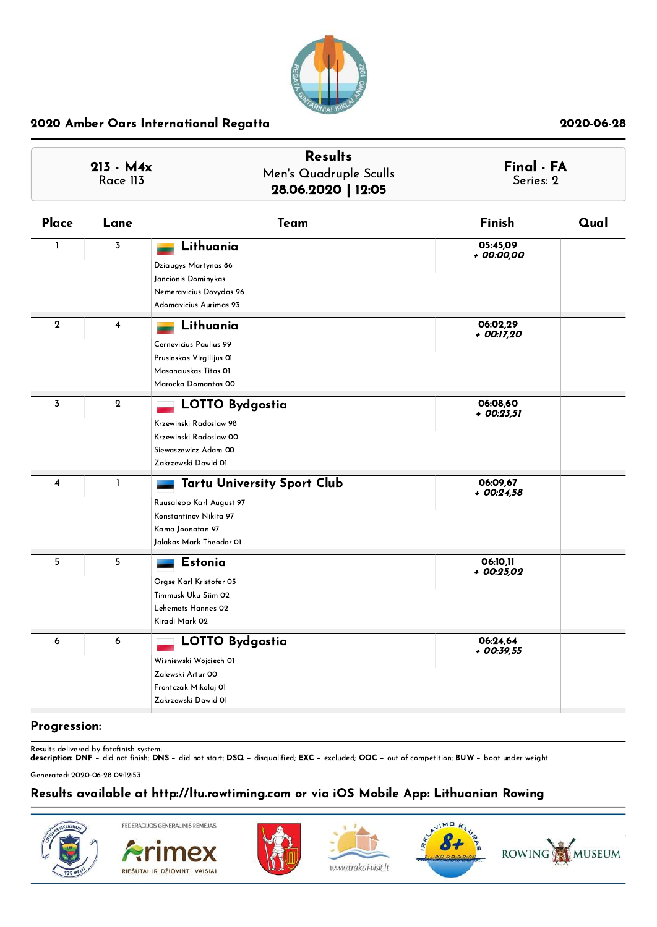

| $213 - M4x$<br>Race 113 |                         | <b>Results</b><br>Men's Quadruple Sculls<br>28.06.2020   12:05                                                                          | Final - FA<br>Series: 2 |      |
|-------------------------|-------------------------|-----------------------------------------------------------------------------------------------------------------------------------------|-------------------------|------|
| Place                   | Lane                    | Team                                                                                                                                    | Finish                  | Qual |
| $\mathbf{I}$            | $\overline{\mathbf{3}}$ | Lithuania<br>Dziaugys Martynas 86<br>Jancionis Dominykas<br>Nemeravicius Dovydas 96<br>Adomavicius Aurimas 93                           | 05:45,09<br>+ 00:00,00  |      |
| $\mathbf{2}$            | 4                       | Lithuania<br>Cernevicius Paulius 99<br>Prusinskas Virgilijus OI<br>Masanauskas Titas OI<br>Marocka Domantas 00                          | 06:02.29<br>+ 00:17,20  |      |
| $\overline{3}$          | $\mathbf{2}$            | <b>LOTTO Bydgostia</b><br>Krzewinski Radoslaw 98<br>Krzewinski Radoslaw 00<br>Siewaszewicz Adam 00<br>Zakrzewski Dawid 01               | 06:08,60<br>+ 00:23,51  |      |
| 4                       | $\mathbf{1}$            | <b>Tartu University Sport Club</b><br>Ruusalepp Karl August 97<br>Konstantinov Nikita 97<br>Kama Joonatan 97<br>Jalakas Mark Theodor 01 | 06:09,67<br>$+00:24,58$ |      |
| 5                       | 5                       | Estonia<br>Orgse Karl Kristofer 03<br>Timmusk Uku Siim 02<br>Lehemets Hannes 02<br>Kiradi Mark 02                                       | 06:10,11<br>$+00:25,02$ |      |
| 6                       | 6                       | <b>LOTTO Bydgostia</b><br>Wisniewski Wojciech Ol<br>Zalewski Artur 00<br>Frontczak Mikolaj 01<br>Zakrzewski Dawid 01                    | 06:24,64<br>$+00:39.55$ |      |

### Progression:

Results delivered by fotofinish system.<br>**description: DNF** − did not finish; **DNS** − did not start; **DSQ** − disqualified; **EXC** − excluded; **OOC** − out of competition; **BUW** − boat under weight

Generated: 2020-06-28 09:12:53

# Results available at http://ltu.rowtiming.com or via iOS Mobile App: Lithuanian Rowing